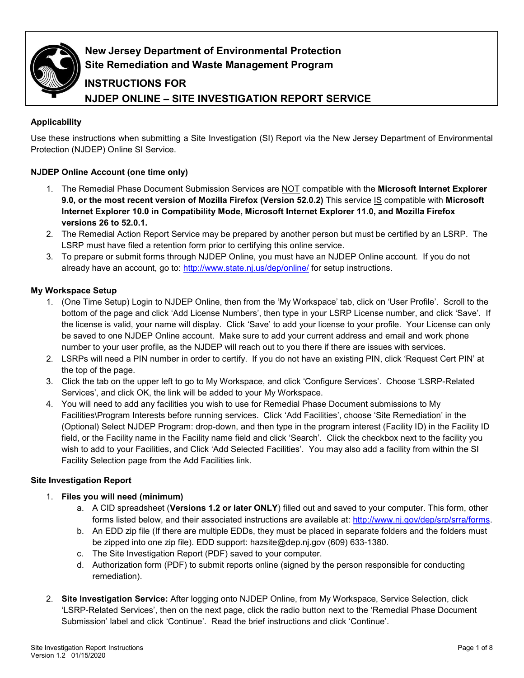

## **New Jersey Department of Environmental Protection Site Remediation and Waste Management Program**

# **INSTRUCTIONS FOR NJDEP ONLINE – SITE INVESTIGATION REPORT SERVICE**

## **Applicability**

Use these instructions when submitting a Site Investigation (SI) Report via the New Jersey Department of Environmental Protection (NJDEP) Online SI Service.

## **NJDEP Online Account (one time only)**

- 1. The Remedial Phase Document Submission Services are NOT compatible with the **Microsoft Internet Explorer 9.0, or the most recent version of Mozilla Firefox (Version 52.0.2)** This service IS compatible with **Microsoft Internet Explorer 10.0 in Compatibility Mode, Microsoft Internet Explorer 11.0, and Mozilla Firefox versions 26 to 52.0.1.**
- 2. The Remedial Action Report Service may be prepared by another person but must be certified by an LSRP. The LSRP must have filed a retention form prior to certifying this online service.
- 3. To prepare or submit forms through NJDEP Online, you must have an NJDEP Online account. If you do not already have an account, go to:<http://www.state.nj.us/dep/online/> for setup instructions.

## **My Workspace Setup**

- 1. (One Time Setup) Login to NJDEP Online, then from the 'My Workspace' tab, click on 'User Profile'. Scroll to the bottom of the page and click 'Add License Numbers', then type in your LSRP License number, and click 'Save'. If the license is valid, your name will display. Click 'Save' to add your license to your profile. Your License can only be saved to one NJDEP Online account. Make sure to add your current address and email and work phone number to your user profile, as the NJDEP will reach out to you there if there are issues with services.
- 2. LSRPs will need a PIN number in order to certify. If you do not have an existing PIN, click 'Request Cert PIN' at the top of the page.
- 3. Click the tab on the upper left to go to My Workspace, and click 'Configure Services'. Choose 'LSRP-Related Services', and click OK, the link will be added to your My Workspace.
- 4. You will need to add any facilities you wish to use for Remedial Phase Document submissions to My Facilities\Program Interests before running services. Click 'Add Facilities', choose 'Site Remediation' in the (Optional) Select NJDEP Program: drop-down, and then type in the program interest (Facility ID) in the Facility ID field, or the Facility name in the Facility name field and click 'Search'. Click the checkbox next to the facility you wish to add to your Facilities, and Click 'Add Selected Facilities'. You may also add a facility from within the SI Facility Selection page from the Add Facilities link.

## **Site Investigation Report**

## 1. **Files you will need (minimum)**

- a. A CID spreadsheet (**Versions 1.2 or later ONLY**) filled out and saved to your computer. This form, other forms listed below, and their associated instructions are available at: [http://www.nj.gov/dep/srp/srra/forms.](http://www.nj.gov/dep/srp/srra/forms)
- b. An EDD zip file (If there are multiple EDDs, they must be placed in separate folders and the folders must be zipped into one zip file). EDD support: hazsite@dep.nj.gov (609) 633-1380.
- c. The Site Investigation Report (PDF) saved to your computer.
- d. Authorization form (PDF) to submit reports online (signed by the person responsible for conducting remediation).
- 2. **Site Investigation Service:** After logging onto NJDEP Online, from My Workspace, Service Selection, click 'LSRP-Related Services', then on the next page, click the radio button next to the 'Remedial Phase Document Submission' label and click 'Continue'. Read the brief instructions and click 'Continue'.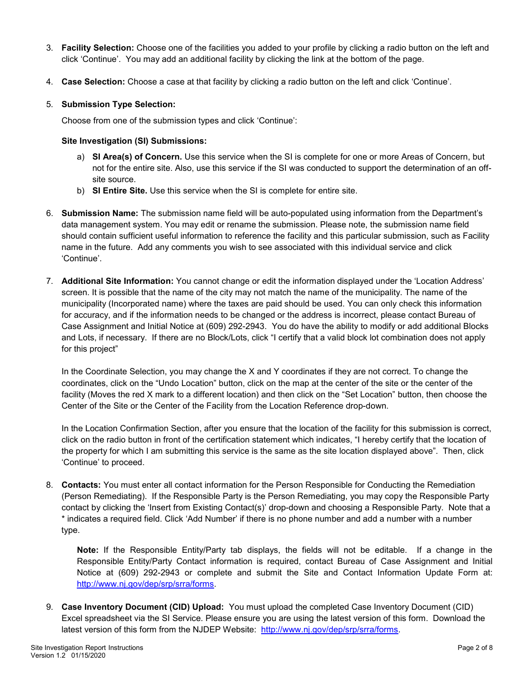- 3. **Facility Selection:** Choose one of the facilities you added to your profile by clicking a radio button on the left and click 'Continue'. You may add an additional facility by clicking the link at the bottom of the page.
- 4. **Case Selection:** Choose a case at that facility by clicking a radio button on the left and click 'Continue'.

## 5. **Submission Type Selection:**

Choose from one of the submission types and click 'Continue':

#### **Site Investigation (SI) Submissions:**

- a) **SI Area(s) of Concern.** Use this service when the SI is complete for one or more Areas of Concern, but not for the entire site. Also, use this service if the SI was conducted to support the determination of an offsite source.
- b) **SI Entire Site.** Use this service when the SI is complete for entire site.
- 6. **Submission Name:** The submission name field will be auto-populated using information from the Department's data management system. You may edit or rename the submission. Please note, the submission name field should contain sufficient useful information to reference the facility and this particular submission, such as Facility name in the future. Add any comments you wish to see associated with this individual service and click 'Continue'.
- 7. **Additional Site Information:** You cannot change or edit the information displayed under the 'Location Address' screen. It is possible that the name of the city may not match the name of the municipality. The name of the municipality (Incorporated name) where the taxes are paid should be used. You can only check this information for accuracy, and if the information needs to be changed or the address is incorrect, please contact Bureau of Case Assignment and Initial Notice at (609) 292-2943. You do have the ability to modify or add additional Blocks and Lots, if necessary. If there are no Block/Lots, click "I certify that a valid block lot combination does not apply for this project"

In the Coordinate Selection, you may change the X and Y coordinates if they are not correct. To change the coordinates, click on the "Undo Location" button, click on the map at the center of the site or the center of the facility (Moves the red X mark to a different location) and then click on the "Set Location" button, then choose the Center of the Site or the Center of the Facility from the Location Reference drop-down.

In the Location Confirmation Section, after you ensure that the location of the facility for this submission is correct, click on the radio button in front of the certification statement which indicates, "I hereby certify that the location of the property for which I am submitting this service is the same as the site location displayed above". Then, click 'Continue' to proceed.

8. **Contacts:** You must enter all contact information for the Person Responsible for Conducting the Remediation (Person Remediating). If the Responsible Party is the Person Remediating, you may copy the Responsible Party contact by clicking the 'Insert from Existing Contact(s)' drop-down and choosing a Responsible Party. Note that a \* indicates a required field. Click 'Add Number' if there is no phone number and add a number with a number type.

**Note:** If the Responsible Entity/Party tab displays, the fields will not be editable. If a change in the Responsible Entity/Party Contact information is required, contact Bureau of Case Assignment and Initial Notice at (609) 292-2943 or complete and submit the Site and Contact Information Update Form at: [http://www.nj.gov/dep/srp/srra/forms.](http://www.nj.gov/dep/srp/srra/forms)

9. **Case Inventory Document (CID) Upload:** You must upload the completed Case Inventory Document (CID) Excel spreadsheet via the SI Service. Please ensure you are using the latest version of this form. Download the latest version of this form from the NJDEP Website: [http://www.nj.gov/dep/srp/srra/forms.](http://www.nj.gov/dep/srp/srra/forms)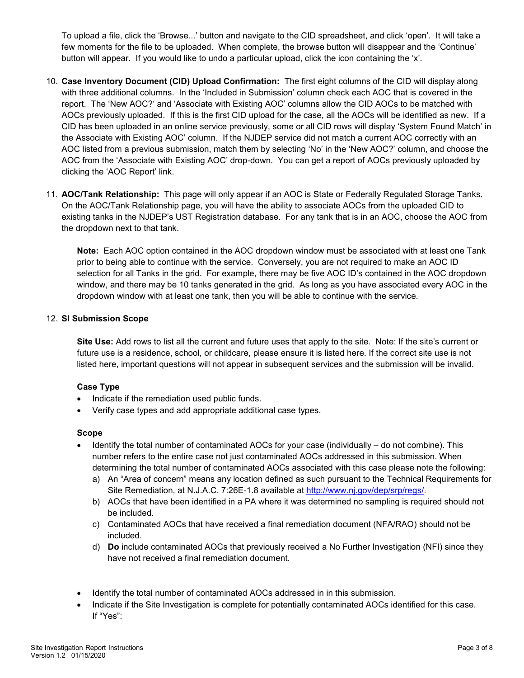To upload a file, click the 'Browse...' button and navigate to the CID spreadsheet, and click 'open'. It will take a few moments for the file to be uploaded. When complete, the browse button will disappear and the 'Continue' button will appear. If you would like to undo a particular upload, click the icon containing the 'x'.

- 10. **Case Inventory Document (CID) Upload Confirmation:** The first eight columns of the CID will display along with three additional columns. In the 'Included in Submission' column check each AOC that is covered in the report. The 'New AOC?' and 'Associate with Existing AOC' columns allow the CID AOCs to be matched with AOCs previously uploaded. If this is the first CID upload for the case, all the AOCs will be identified as new. If a CID has been uploaded in an online service previously, some or all CID rows will display 'System Found Match' in the Associate with Existing AOC' column. If the NJDEP service did not match a current AOC correctly with an AOC listed from a previous submission, match them by selecting 'No' in the 'New AOC?' column, and choose the AOC from the 'Associate with Existing AOC' drop-down. You can get a report of AOCs previously uploaded by clicking the 'AOC Report' link.
- 11. **AOC/Tank Relationship:** This page will only appear if an AOC is State or Federally Regulated Storage Tanks. On the AOC/Tank Relationship page, you will have the ability to associate AOCs from the uploaded CID to existing tanks in the NJDEP's UST Registration database. For any tank that is in an AOC, choose the AOC from the dropdown next to that tank.

**Note:** Each AOC option contained in the AOC dropdown window must be associated with at least one Tank prior to being able to continue with the service. Conversely, you are not required to make an AOC ID selection for all Tanks in the grid. For example, there may be five AOC ID's contained in the AOC dropdown window, and there may be 10 tanks generated in the grid. As long as you have associated every AOC in the dropdown window with at least one tank, then you will be able to continue with the service.

#### 12. **SI Submission Scope**

**Site Use:** Add rows to list all the current and future uses that apply to the site. Note: If the site's current or future use is a residence, school, or childcare, please ensure it is listed here. If the correct site use is not listed here, important questions will not appear in subsequent services and the submission will be invalid.

## **Case Type**

- Indicate if the remediation used public funds.
- Verify case types and add appropriate additional case types.

#### **Scope**

- Identify the total number of contaminated AOCs for your case (individually do not combine). This number refers to the entire case not just contaminated AOCs addressed in this submission. When determining the total number of contaminated AOCs associated with this case please note the following:
	- a) An "Area of concern" means any location defined as such pursuant to the Technical Requirements for Site Remediation, at N.J.A.C. 7:26E-1.8 available at [http://www.nj.gov/dep/srp/regs/.](http://www.nj.gov/dep/srp/regs/)
	- b) AOCs that have been identified in a PA where it was determined no sampling is required should not be included.
	- c) Contaminated AOCs that have received a final remediation document (NFA/RAO) should not be included.
	- d) **Do** include contaminated AOCs that previously received a No Further Investigation (NFI) since they have not received a final remediation document.
- Identify the total number of contaminated AOCs addressed in in this submission.
- Indicate if the Site Investigation is complete for potentially contaminated AOCs identified for this case. If "Yes":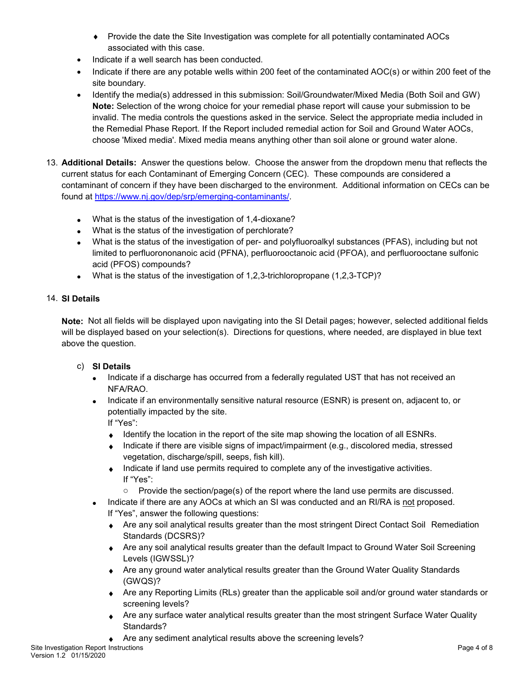- ♦ Provide the date the Site Investigation was complete for all potentially contaminated AOCs associated with this case.
- Indicate if a well search has been conducted.
- Indicate if there are any potable wells within 200 feet of the contaminated AOC(s) or within 200 feet of the site boundary.
- Identify the media(s) addressed in this submission: Soil/Groundwater/Mixed Media (Both Soil and GW) **Note:** Selection of the wrong choice for your remedial phase report will cause your submission to be invalid. The media controls the questions asked in the service. Select the appropriate media included in the Remedial Phase Report. If the Report included remedial action for Soil and Ground Water AOCs, choose 'Mixed media'. Mixed media means anything other than soil alone or ground water alone.
- 13. **Additional Details:** Answer the questions below. Choose the answer from the dropdown menu that reflects the current status for each Contaminant of Emerging Concern (CEC). These compounds are considered a contaminant of concern if they have been discharged to the environment. Additional information on CECs can be found at [https://www.nj.gov/dep/srp/emerging-contaminants/.](https://www.nj.gov/dep/srp/emerging-contaminants/)
	- What is the status of the investigation of 1,4-dioxane?
	- What is the status of the investigation of perchlorate?
	- What is the status of the investigation of per- and polyfluoroalkyl substances (PFAS), including but not limited to perfluorononanoic acid (PFNA), perfluorooctanoic acid (PFOA), and perfluorooctane sulfonic acid (PFOS) compounds?
	- What is the status of the investigation of  $1,2,3$ -trichloropropane  $(1,2,3$ -TCP $)$ ?

## 14. **SI Details**

**Note:** Not all fields will be displayed upon navigating into the SI Detail pages; however, selected additional fields will be displayed based on your selection(s). Directions for questions, where needed, are displayed in blue text above the question.

- c) **SI Details**
	- Indicate if a discharge has occurred from a federally regulated UST that has not received an NFA/RAO.
	- Indicate if an environmentally sensitive natural resource (ESNR) is present on, adjacent to, or potentially impacted by the site.

If "Yes":

- ♦ Identify the location in the report of the site map showing the location of all ESNRs.
- ♦ Indicate if there are visible signs of impact/impairment (e.g., discolored media, stressed vegetation, discharge/spill, seeps, fish kill).
- ♦ Indicate if land use permits required to complete any of the investigative activities. If "Yes":
	- $\circ$  Provide the section/page(s) of the report where the land use permits are discussed.
- Indicate if there are any AOCs at which an SI was conducted and an RI/RA is not proposed. If "Yes", answer the following questions:
	- ♦ Are any soil analytical results greater than the most stringent Direct Contact Soil Remediation Standards (DCSRS)?
	- ♦ Are any soil analytical results greater than the default Impact to Ground Water Soil Screening Levels (IGWSSL)?
	- ♦ Are any ground water analytical results greater than the Ground Water Quality Standards (GWQS)?
	- ♦ Are any Reporting Limits (RLs) greater than the applicable soil and/or ground water standards or screening levels?
	- Are any surface water analytical results greater than the most stringent Surface Water Quality Standards?
	- Are any sediment analytical results above the screening levels?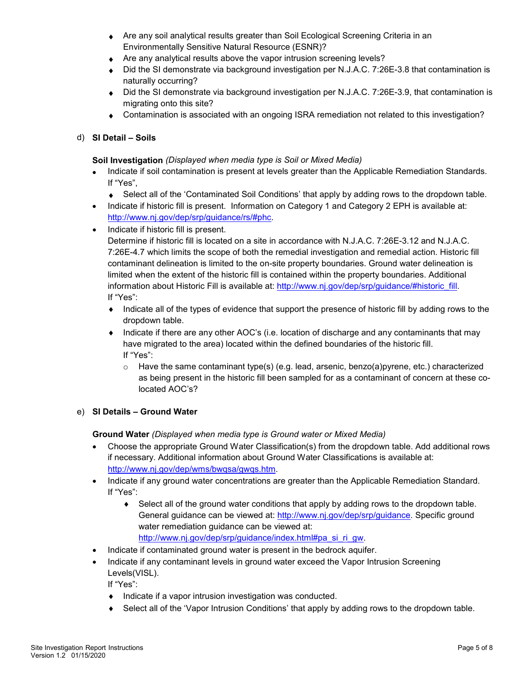- Are any soil analytical results greater than Soil Ecological Screening Criteria in an Environmentally Sensitive Natural Resource (ESNR)?
- ◆ Are any analytical results above the vapor intrusion screening levels?
- Did the SI demonstrate via background investigation per N.J.A.C. 7:26E-3.8 that contamination is naturally occurring?
- ♦ Did the SI demonstrate via background investigation per N.J.A.C. 7:26E-3.9, that contamination is migrating onto this site?
- ♦ Contamination is associated with an ongoing ISRA remediation not related to this investigation?

## d) **SI Detail – Soils**

## **Soil Investigation** *(Displayed when media type is Soil or Mixed Media)*

- Indicate if soil contamination is present at levels greater than the Applicable Remediation Standards. If "Yes",
	- ♦ Select all of the 'Contaminated Soil Conditions' that apply by adding rows to the dropdown table.
- Indicate if historic fill is present. Information on Category 1 and Category 2 EPH is available at: [http://www.nj.gov/dep/srp/guidance/rs/#phc.](http://www.nj.gov/dep/srp/guidance/rs/#phc)
- Indicate if historic fill is present.

Determine if historic fill is located on a site in accordance with N.J.A.C. 7:26E-3.12 and N.J.A.C. 7:26E-4.7 which limits the scope of both the remedial investigation and remedial action. Historic fill contaminant delineation is limited to the on-site property boundaries. Ground water delineation is limited when the extent of the historic fill is contained within the property boundaries. Additional information about Historic Fill is available at: [http://www.nj.gov/dep/srp/guidance/#historic\\_fill.](http://www.nj.gov/dep/srp/guidance/#historic_fill) If "Yes":

- ♦ Indicate all of the types of evidence that support the presence of historic fill by adding rows to the dropdown table.
- ♦ Indicate if there are any other AOC's (i.e. location of discharge and any contaminants that may have migrated to the area) located within the defined boundaries of the historic fill. If "Yes":
	- $\circ$  Have the same contaminant type(s) (e.g. lead, arsenic, benzo(a)pyrene, etc.) characterized as being present in the historic fill been sampled for as a contaminant of concern at these colocated AOC's?

## e) **SI Details – Ground Water**

**Ground Water** *(Displayed when media type is Ground water or Mixed Media)*

- Choose the appropriate Ground Water Classification(s) from the dropdown table. Add additional rows if necessary. Additional information about Ground Water Classifications is available at: [http://www.nj.gov/dep/wms/bwqsa/gwqs.htm.](http://www.nj.gov/dep/wms/bwqsa/gwqs.htm)
- Indicate if any ground water concentrations are greater than the Applicable Remediation Standard. If "Yes":
	- ♦ Select all of the ground water conditions that apply by adding rows to the dropdown table. General guidance can be viewed at: [http://www.nj.gov/dep/srp/guidance.](http://www.nj.gov/dep/srp/guidance) Specific ground water remediation guidance can be viewed at: [http://www.nj.gov/dep/srp/guidance/index.html#pa\\_si\\_ri\\_gw.](http://www.nj.gov/dep/srp/guidance/index.html#pa_si_ri_gw)
- Indicate if contaminated ground water is present in the bedrock aquifer.
- Indicate if any contaminant levels in ground water exceed the Vapor Intrusion Screening Levels(VISL).

If "Yes":

- ♦ Indicate if a vapor intrusion investigation was conducted.
- ♦ Select all of the 'Vapor Intrusion Conditions' that apply by adding rows to the dropdown table.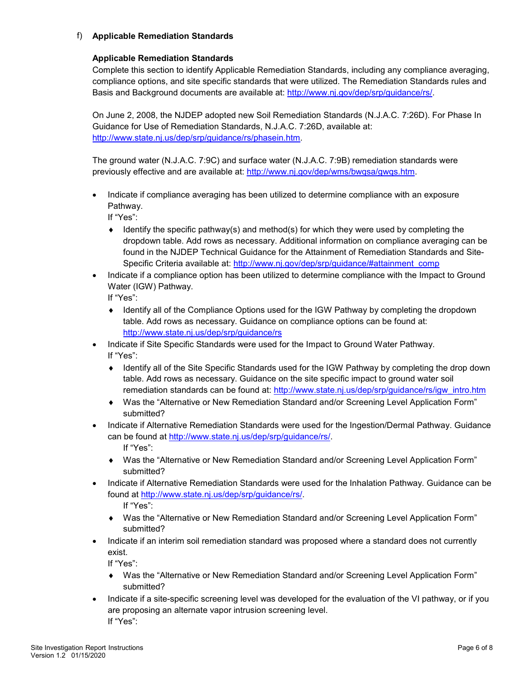## f) **Applicable Remediation Standards**

#### **Applicable Remediation Standards**

Complete this section to identify Applicable Remediation Standards, including any compliance averaging, compliance options, and site specific standards that were utilized. The Remediation Standards rules and Basis and Background documents are available at: [http://www.nj.gov/dep/srp/guidance/rs/.](http://www.nj.gov/dep/srp/guidance/rs/)

On June 2, 2008, the NJDEP adopted new Soil Remediation Standards (N.J.A.C. 7:26D). For Phase In Guidance for Use of Remediation Standards, N.J.A.C. 7:26D, available at: [http://www.state.nj.us/dep/srp/guidance/rs/phasein.htm.](http://www.state.nj.us/dep/srp/guidance/rs/phasein.htm)

The ground water (N.J.A.C. 7:9C) and surface water (N.J.A.C. 7:9B) remediation standards were previously effective and are available at: [http://www.nj.gov/dep/wms/bwqsa/gwqs.htm.](http://www.nj.gov/dep/wms/bwqsa/gwqs.htm)

• Indicate if compliance averaging has been utilized to determine compliance with an exposure Pathway.

If "Yes":

- $\bullet$  Identify the specific pathway(s) and method(s) for which they were used by completing the dropdown table. Add rows as necessary. Additional information on compliance averaging can be found in the NJDEP Technical Guidance for the Attainment of Remediation Standards and SiteSpecific Criteria available at: [http://www.nj.gov/dep/srp/guidance/#attainment\\_comp](http://www.nj.gov/dep/srp/guidance/#attainment_comp)
- Indicate if a compliance option has been utilized to determine compliance with the Impact to Ground Water (IGW) Pathway.

If "Yes":

- ♦ Identify all of the Compliance Options used for the IGW Pathway by completing the dropdown table. Add rows as necessary. Guidance on compliance options can be found at: <http://www.state.nj.us/dep/srp/guidance/rs>
- Indicate if Site Specific Standards were used for the Impact to Ground Water Pathway. If "Yes":
	- ♦ Identify all of the Site Specific Standards used for the IGW Pathway by completing the drop down table. Add rows as necessary. Guidance on the site specific impact to ground water soil remediation standards can be found at: [http://www.state.nj.us/dep/srp/guidance/rs/igw\\_intro.htm](http://www.state.nj.us/dep/srp/guidance/rs/igw_intro.htm)
	- ♦ Was the "Alternative or New Remediation Standard and/or Screening Level Application Form" submitted?
- Indicate if Alternative Remediation Standards were used for the Ingestion/Dermal Pathway. Guidance can be found at [http://www.state.nj.us/dep/srp/guidance/rs/.](http://www.state.nj.us/dep/srp/guidance/rs/) If "Yes":
	- Was the "Alternative or New Remediation Standard and/or Screening Level Application Form" submitted?
- Indicate if Alternative Remediation Standards were used for the Inhalation Pathway. Guidance can be found at [http://www.state.nj.us/dep/srp/guidance/rs/.](http://www.state.nj.us/dep/srp/guidance/rs/)

If "Yes":

- ♦ Was the "Alternative or New Remediation Standard and/or Screening Level Application Form" submitted?
- Indicate if an interim soil remediation standard was proposed where a standard does not currently exist.

If "Yes":

- ♦ Was the "Alternative or New Remediation Standard and/or Screening Level Application Form" submitted?
- Indicate if a site-specific screening level was developed for the evaluation of the VI pathway, or if you are proposing an alternate vapor intrusion screening level. If "Yes":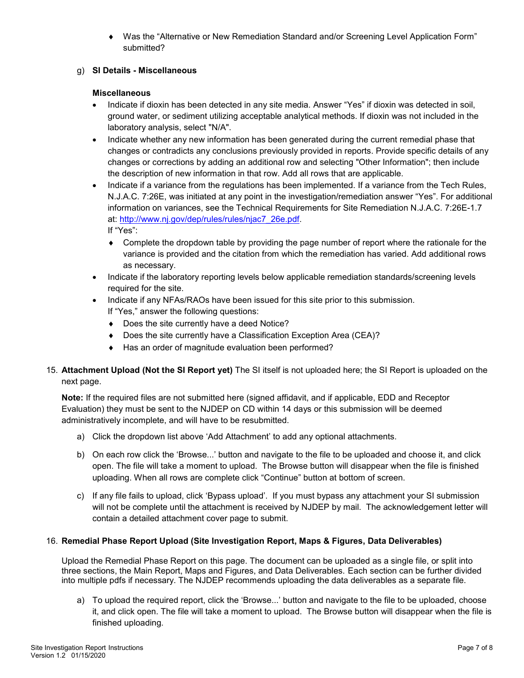Was the "Alternative or New Remediation Standard and/or Screening Level Application Form" submitted?

## g) **SI Details - Miscellaneous**

#### **Miscellaneous**

- Indicate if dioxin has been detected in any site media. Answer "Yes" if dioxin was detected in soil, ground water, or sediment utilizing acceptable analytical methods. If dioxin was not included in the laboratory analysis, select "N/A".
- Indicate whether any new information has been generated during the current remedial phase that changes or contradicts any conclusions previously provided in reports. Provide specific details of any changes or corrections by adding an additional row and selecting "Other Information"; then include the description of new information in that row. Add all rows that are applicable.
- Indicate if a variance from the regulations has been implemented. If a variance from the Tech Rules, N.J.A.C. 7:26E, was initiated at any point in the investigation/remediation answer "Yes". For additional information on variances, see the Technical Requirements for Site Remediation N.J.A.C. 7:26E-1.7 at: [http://www.nj.gov/dep/rules/rules/njac7\\_26e.pdf.](http://www.nj.gov/dep/rules/rules/njac7_26e.pdf) If "Yes":
	- ♦ Complete the dropdown table by providing the page number of report where the rationale for the variance is provided and the citation from which the remediation has varied. Add additional rows as necessary.
- Indicate if the laboratory reporting levels below applicable remediation standards/screening levels required for the site.
- Indicate if any NFAs/RAOs have been issued for this site prior to this submission.
	- If "Yes," answer the following questions:
	- ♦ Does the site currently have a deed Notice?
	- ♦ Does the site currently have a Classification Exception Area (CEA)?
	- ♦ Has an order of magnitude evaluation been performed?
- 15. **Attachment Upload (Not the SI Report yet)** The SI itself is not uploaded here; the SI Report is uploaded on the next page.

**Note:** If the required files are not submitted here (signed affidavit, and if applicable, EDD and Receptor Evaluation) they must be sent to the NJDEP on CD within 14 days or this submission will be deemed administratively incomplete, and will have to be resubmitted.

- a) Click the dropdown list above 'Add Attachment' to add any optional attachments.
- b) On each row click the 'Browse...' button and navigate to the file to be uploaded and choose it, and click open. The file will take a moment to upload. The Browse button will disappear when the file is finished uploading. When all rows are complete click "Continue" button at bottom of screen.
- c) If any file fails to upload, click 'Bypass upload'. If you must bypass any attachment your SI submission will not be complete until the attachment is received by NJDEP by mail. The acknowledgement letter will contain a detailed attachment cover page to submit.

## 16. **Remedial Phase Report Upload (Site Investigation Report, Maps & Figures, Data Deliverables)**

Upload the Remedial Phase Report on this page. The document can be uploaded as a single file, or split into three sections, the Main Report, Maps and Figures, and Data Deliverables. Each section can be further divided into multiple pdfs if necessary. The NJDEP recommends uploading the data deliverables as a separate file.

a) To upload the required report, click the 'Browse...' button and navigate to the file to be uploaded, choose it, and click open. The file will take a moment to upload. The Browse button will disappear when the file is finished uploading.